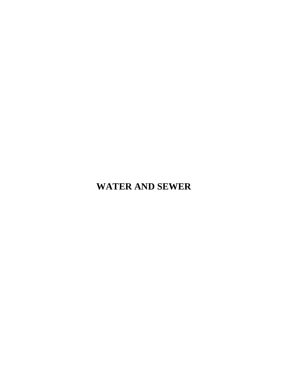# **WATER AND SEWER**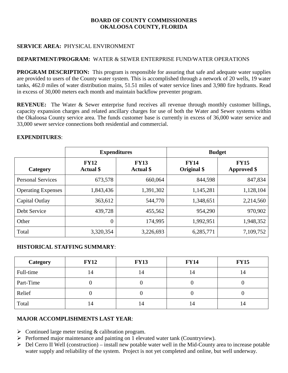# **SERVICE AREA:** PHYSICAL ENVIRONMENT

# **DEPARTMENT/PROGRAM:** WATER & SEWER ENTERPRISE FUND/WATER OPERATIONS

**PROGRAM DESCRIPTION:** This program is responsible for assuring that safe and adequate water supplies are provided to users of the County water system. This is accomplished through a network of 20 wells, 19 water tanks, 462.0 miles of water distribution mains, 51.51 miles of water service lines and 3,980 fire hydrants. Read in excess of 30,000 meters each month and maintain backflow preventer program.

**REVENUE:** The Water & Sewer enterprise fund receives all revenue through monthly customer billings, capacity expansion charges and related ancillary charges for use of both the Water and Sewer systems within the Okaloosa County service area. The funds customer base is currently in excess of 36,000 water service and 33,000 sewer service connections both residential and commercial.

|                           |                          | <b>Expenditures</b>      | <b>Budget</b>              |                            |  |
|---------------------------|--------------------------|--------------------------|----------------------------|----------------------------|--|
| Category                  | <b>FY12</b><br>Actual \$ | <b>FY13</b><br>Actual \$ | <b>FY14</b><br>Original \$ | <b>FY15</b><br>Approved \$ |  |
| <b>Personal Services</b>  | 673,578                  | 660,064                  | 844,598                    | 847,834                    |  |
| <b>Operating Expenses</b> | 1,843,436                | 1,391,302                | 1,145,281                  | 1,128,104                  |  |
| Capital Outlay            | 363,612                  | 544,770                  | 1,348,651                  | 2,214,560                  |  |
| Debt Service              | 439,728                  | 455,562                  | 954,290                    | 970,902                    |  |
| Other                     | $\theta$                 | 174,995                  | 1,992,951                  | 1,948,352                  |  |
| Total                     | 3,320,354                | 3,226,693                | 6,285,771                  | 7,109,752                  |  |

#### **EXPENDITURES**:

# **HISTORICAL STAFFING SUMMARY**:

| Category  | <b>FY12</b> | <b>FY13</b> | <b>FY14</b> | <b>FY15</b> |
|-----------|-------------|-------------|-------------|-------------|
| Full-time | 14          | 14          | 14          | 4ء          |
| Part-Time |             |             |             |             |
| Relief    |             |             | U           |             |
| Total     | 14          | 14          | 14          | 14          |

# **MAJOR ACCOMPLISHMENTS LAST YEAR**:

- $\triangleright$  Continued large meter testing & calibration program.
- $\triangleright$  Performed major maintenance and painting on 1 elevated water tank (Countryview).
- $\triangleright$  Del Cerro II Well (construction) install new potable water well in the Mid-County area to increase potable water supply and reliability of the system. Project is not yet completed and online, but well underway.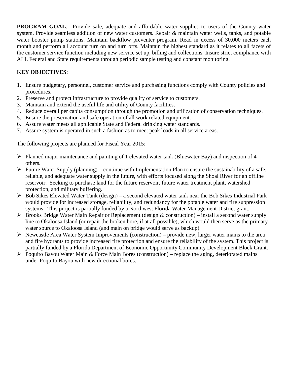**PROGRAM GOAL**: Provide safe, adequate and affordable water supplies to users of the County water system. Provide seamless addition of new water customers. Repair & maintain water wells, tanks, and potable water booster pump stations. Maintain backflow preventer program. Read in excess of 30,000 meters each month and perform all account turn on and turn offs. Maintain the highest standard as it relates to all facets of the customer service function including new service set up, billing and collections. Insure strict compliance with ALL Federal and State requirements through periodic sample testing and constant monitoring.

# **KEY OBJECTIVES**:

- 1. Ensure budgetary, personnel, customer service and purchasing functions comply with County policies and procedures.
- 2. Preserve and protect infrastructure to provide quality of service to customers.
- 3. Maintain and extend the useful life and utility of County facilities.
- 4. Reduce overall per capita consumption through the promotion and utilization of conservation techniques.
- 5. Ensure the preservation and safe operation of all work related equipment.
- 6. Assure water meets all applicable State and Federal drinking water standards.
- 7. Assure system is operated in such a fashion as to meet peak loads in all service areas.

The following projects are planned for Fiscal Year 2015:

- Planned major maintenance and painting of 1 elevated water tank (Bluewater Bay) and inspection of 4 others.
- Future Water Supply (planning) continue with Implementation Plan to ensure the sustainability of a safe, reliable, and adequate water supply in the future, with efforts focused along the Shoal River for an offline reservoir. Seeking to purchase land for the future reservoir, future water treatment plant, watershed protection, and military buffering.
- $\triangleright$  Bob Sikes Elevated Water Tank (design) a second elevated water tank near the Bob Sikes Industrial Park would provide for increased storage, reliability, and redundancy for the potable water and fire suppression systems. This project is partially funded by a Northwest Florida Water Management District grant.
- $\triangleright$  Brooks Bridge Water Main Repair or Replacement (design & construction) install a second water supply line to Okaloosa Island (or repair the broken bore, if at all possible), which would then serve as the primary water source to Okaloosa Island (and main on bridge would serve as backup).
- $\triangleright$  Newcastle Area Water System Improvements (construction) provide new, larger water mains to the area and fire hydrants to provide increased fire protection and ensure the reliability of the system. This project is partially funded by a Florida Department of Economic Opportunity Community Development Block Grant.
- $\triangleright$  Poquito Bayou Water Main & Force Main Bores (construction) replace the aging, deteriorated mains under Poquito Bayou with new directional bores.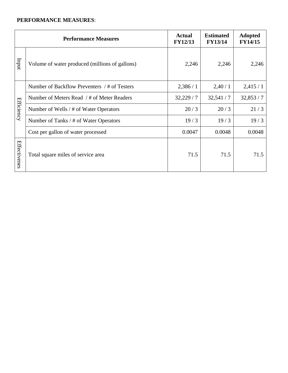|                   | <b>Performance Measures</b>                    | <b>Actual</b><br><b>FY12/13</b> | <b>Estimated</b><br><b>FY13/14</b> | <b>Adopted</b><br><b>FY14/15</b> |
|-------------------|------------------------------------------------|---------------------------------|------------------------------------|----------------------------------|
| Indul             | Volume of water produced (millions of gallons) | 2,246                           | 2,246                              | 2,246                            |
|                   | Number of Backflow Preventers / # of Testers   | 2,386/1                         | 2,40/1                             | 2,415/1                          |
| <b>Efficiency</b> | Number of Meters Read / # of Meter Readers     | 32,229/7                        | 32,541/7                           | 32,853/7                         |
|                   | Number of Wells / # of Water Operators         | 20/3                            | 20/3                               | 21/3                             |
|                   | Number of Tanks / # of Water Operators         | 19/3                            | 19/3                               | 19/3                             |
|                   | Cost per gallon of water processed             | 0.0047                          | 0.0048                             | 0.0048                           |
| Effectivenes      | Total square miles of service area             | 71.5                            | 71.5                               | 71.5                             |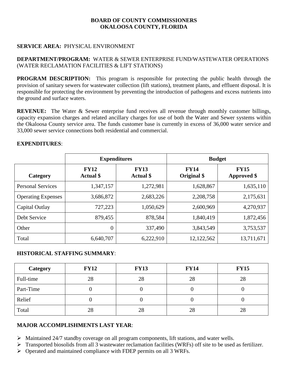# **SERVICE AREA:** PHYSICAL ENVIRONMENT

## **DEPARTMENT/PROGRAM:** WATER & SEWER ENTERPRISE FUND/WASTEWATER OPERATIONS (WATER RECLAMATION FACILITIES & LIFT STATIONS)

**PROGRAM DESCRIPTION:** This program is responsible for protecting the public health through the provision of sanitary sewers for wastewater collection (lift stations), treatment plants, and effluent disposal. It is responsible for protecting the environment by preventing the introduction of pathogens and excess nutrients into the ground and surface waters.

**REVENUE:** The Water & Sewer enterprise fund receives all revenue through monthly customer billings, capacity expansion charges and related ancillary charges for use of both the Water and Sewer systems within the Okaloosa County service area. The funds customer base is currently in excess of 36,000 water service and 33,000 sewer service connections both residential and commercial.

#### **EXPENDITURES**:

|                           | <b>Expenditures</b>             |                                 | <b>Budget</b>              |                                   |  |
|---------------------------|---------------------------------|---------------------------------|----------------------------|-----------------------------------|--|
| Category                  | <b>FY12</b><br><b>Actual</b> \$ | <b>FY13</b><br><b>Actual</b> \$ | <b>FY14</b><br>Original \$ | <b>FY15</b><br><b>Approved</b> \$ |  |
| <b>Personal Services</b>  | 1,347,157                       | 1,272,981                       | 1,628,867                  | 1,635,110                         |  |
| <b>Operating Expenses</b> | 3,686,872                       | 2,683,226                       | 2,208,758                  | 2,175,631                         |  |
| Capital Outlay            | 727,223                         | 1,050,629                       | 2,600,969                  | 4,270,937                         |  |
| Debt Service              | 879,455                         | 878,584                         | 1,840,419                  | 1,872,456                         |  |
| Other                     | $\theta$                        | 337,490                         | 3,843,549                  | 3,753,537                         |  |
| Total                     | 6,640,707                       | 6,222,910                       | 12,122,562                 | 13,711,671                        |  |

# **HISTORICAL STAFFING SUMMARY**:

| Category  | <b>FY12</b> | <b>FY13</b> | <b>FY14</b> | <b>FY15</b> |
|-----------|-------------|-------------|-------------|-------------|
| Full-time | 28          | 28          | 28          | 28          |
| Part-Time |             |             |             |             |
| Relief    |             |             |             |             |
| Total     | 28          | 28          | 28          | 28          |

# **MAJOR ACCOMPLISHMENTS LAST YEAR**:

- $\triangleright$  Maintained 24/7 standby coverage on all program components, lift stations, and water wells.
- Transported biosolids from all 3 wastewater reclamation facilities (WRFs) off site to be used as fertilizer.
- Operated and maintained compliance with FDEP permits on all 3 WRFs.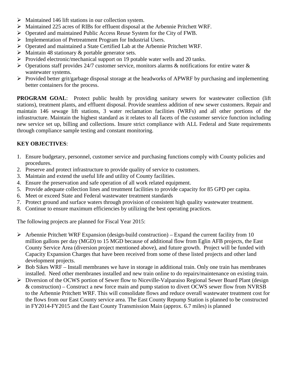- $\triangleright$  Maintained 146 lift stations in our collection system.
- Maintained 225 acres of RIBs for effluent disposal at the Arbennie Pritchett WRF.
- $\triangleright$  Operated and maintained Public Access Reuse System for the City of FWB.
- Implementation of Pretreatment Program for Industrial Users.
- Operated and maintained a State Certified Lab at the Arbennie Pritchett WRF.
- $\triangleright$  Maintain 48 stationary & portable generator sets.
- $\triangleright$  Provided electronic/mechanical support on 19 potable water wells and 20 tanks.
- $\triangleright$  Operations staff provides 24/7 customer service, monitors alarms & notifications for entire water & wastewater systems.
- $\triangleright$  Provided better grit/garbage disposal storage at the headworks of APWRF by purchasing and implementing better containers for the process.

**PROGRAM GOAL**: Protect public health by providing sanitary sewers for wastewater collection (lift stations), treatment plants, and effluent disposal. Provide seamless addition of new sewer customers. Repair and maintain 146 sewage lift stations, 3 water reclamation facilities (WRFs) and all other portions of the infrastructure. Maintain the highest standard as it relates to all facets of the customer service function including new service set up, billing and collections. Insure strict compliance with ALL Federal and State requirements through compliance sample testing and constant monitoring.

# **KEY OBJECTIVES**:

- 1. Ensure budgetary, personnel, customer service and purchasing functions comply with County policies and procedures.
- 2. Preserve and protect infrastructure to provide quality of service to customers.
- 3. Maintain and extend the useful life and utility of County facilities.
- 4. Ensure the preservation and safe operation of all work related equipment.
- 5. Provide adequate collection lines and treatment facilities to provide capacity for 85 GPD per capita.
- 6. Meet or exceed State and Federal wastewater treatment standards
- 7. Protect ground and surface waters through provision of consistent high quality wastewater treatment.
- 8. Continue to ensure maximum efficiencies by utilizing the best operating practices.

The following projects are planned for Fiscal Year 2015:

- $\triangleright$  Arbennie Pritchett WRF Expansion (design-build construction) Expand the current facility from 10 million gallons per day (MGD) to 15 MGD because of additional flow from Eglin AFB projects, the East County Service Area (diversion project mentioned above), and future growth. Project will be funded with Capacity Expansion Charges that have been received from some of these listed projects and other land development projects.
- $\triangleright$  Bob Sikes WRF Install membranes we have in storage in additional train. Only one train has membranes installed. Need other membranes installed and new train online to do repairs/maintenance on existing train.
- Diversion of the OCWS portion of Sewer flow to Niceville-Valparaiso Regional Sewer Board Plant (design & construction) – Construct a new force main and pump station to divert OCWS sewer flow from NVRSB to the Arbennie Pritchett WRF. This will consolidate flows and reduce overall wastewater treatment cost for the flows from our East County service area. The East County Repump Station is planned to be constructed in FY2014-FY2015 and the East County Transmission Main (approx. 6.7 miles) is planned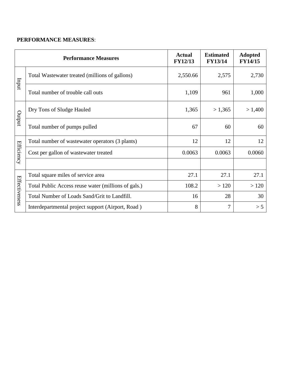|                   | <b>Performance Measures</b>                         | <b>Actual</b><br><b>FY12/13</b> | <b>Estimated</b><br><b>FY13/14</b> | <b>Adopted</b><br><b>FY14/15</b> |
|-------------------|-----------------------------------------------------|---------------------------------|------------------------------------|----------------------------------|
| Inqui             | Total Wastewater treated (millions of gallons)      | 2,550.66                        | 2,575                              | 2,730                            |
|                   | Total number of trouble call outs                   | 1,109                           | 961                                | 1,000                            |
|                   | Dry Tons of Sludge Hauled                           | 1,365                           | >1,365                             | > 1,400                          |
| putput            | Total number of pumps pulled                        | 67                              | 60                                 | 60                               |
|                   | Total number of wastewater operators (3 plants)     | 12                              | 12                                 | 12                               |
| <b>Efficiency</b> | Cost per gallon of wastewater treated               | 0.0063                          | 0.0063                             | 0.0060                           |
|                   |                                                     |                                 |                                    |                                  |
|                   | Total square miles of service area                  | 27.1                            | 27.1                               | 27.1                             |
| Effectiveness     | Total Public Access reuse water (millions of gals.) | 108.2                           | >120                               | >120                             |
|                   | Total Number of Loads Sand/Grit to Landfill.        | 16                              | 28                                 | 30                               |
|                   | Interdepartmental project support (Airport, Road)   | 8                               | 7                                  | > 5                              |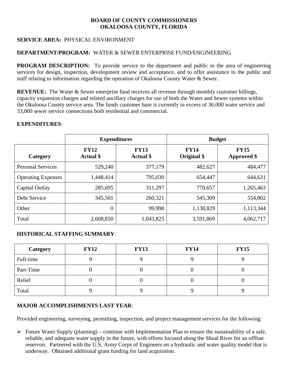# **SERVICE AREA:** PHYSICAL ENVIRONMENT

# **DEPARTMENT/PROGRAM:** WATER & SEWER ENTERPRISE FUND/ENGINEERING

**PROGRAM DESCRIPTION:** To provide service to the department and public in the area of engineering services for design, inspection, development review and acceptance, and to offer assistance to the public and staff relating to information regarding the operation of Okaloosa County Water & Sewer.

**REVENUE:** The Water & Sewer enterprise fund receives all revenue through monthly customer billings, capacity expansion charges and related ancillary charges for use of both the Water and Sewer systems within the Okaloosa County service area. The funds customer base is currently in excess of 36,000 water service and 33,000 sewer service connections both residential and commercial.

# **EXPENDITURES**:

|                           |                                 | <b>Expenditures</b>             | <b>Budget</b>              |                                   |  |
|---------------------------|---------------------------------|---------------------------------|----------------------------|-----------------------------------|--|
| Category                  | <b>FY12</b><br><b>Actual</b> \$ | <b>FY13</b><br><b>Actual</b> \$ | <b>FY14</b><br>Original \$ | <b>FY15</b><br><b>Approved</b> \$ |  |
| <b>Personal Services</b>  | 529,240                         | 377,179                         | 482,627                    | 484,477                           |  |
| <b>Operating Expenses</b> | 1,448,414                       | 795,030                         | 654,447                    | 644,631                           |  |
| Capital Outlay            | 285,695                         | 311,297                         | 770,657                    | 1,265,463                         |  |
| Debt Service              | 345,501                         | 260,321                         | 545,309                    | 554,802                           |  |
| Other                     | $\theta$                        | 99,998                          | 1,138,829                  | 1,113,344                         |  |
| Total                     | 2,608,850                       | 1,843,825                       | 3,591,869                  | 4,062,717                         |  |

# **HISTORICAL STAFFING SUMMARY**:

| Category  | <b>FY12</b> | <b>FY13</b> | <b>FY14</b> | <b>FY15</b> |
|-----------|-------------|-------------|-------------|-------------|
| Full-time |             |             |             |             |
| Part-Time |             |             |             |             |
| Relief    |             |             | U           |             |
| Total     |             |             |             |             |

# **MAJOR ACCOMPLISHMENTS LAST YEAR**:

Provided engineering, surveying, permitting, inspection, and project management services for the following:

 $\triangleright$  Future Water Supply (planning) – continue with Implementation Plan to ensure the sustainability of a safe, reliable, and adequate water supply in the future, with efforts focused along the Shoal River for an offline reservoir. Partnered with the U.S. Army Corps of Engineers on a hydraulic and water quality model that is underway. Obtained additional grant funding for land acquisition.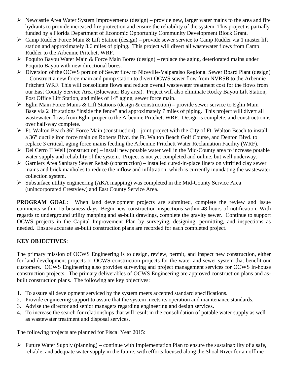- $\triangleright$  Newcastle Area Water System Improvements (design) provide new, larger water mains to the area and fire hydrants to provide increased fire protection and ensure the reliability of the system. This project is partially funded by a Florida Department of Economic Opportunity Community Development Block Grant.
- Camp Rudder Force Main & Lift Station (design) provide sewer service to Camp Rudder via 1 master lift station and approximately 8.6 miles of piping. This project will divert all wastewater flows from Camp Rudder to the Arbennie Pritchett WRF.
- $\triangleright$  Poquito Bayou Water Main & Force Main Bores (design) replace the aging, deteriorated mains under Poquito Bayou with new directional bores.
- Diversion of the OCWS portion of Sewer flow to Niceville-Valparaiso Regional Sewer Board Plant (design) – Construct a new force main and pump station to divert OCWS sewer flow from NVRSB to the Arbennie Pritchett WRF. This will consolidate flows and reduce overall wastewater treatment cost for the flows from our East County Service Area (Bluewater Bay area). Project will also eliminate Rocky Bayou Lift Station, Post Office Lift Station, and miles of 14" aging, sewer force main.
- $\triangleright$  Eglin Main Force Mains & Lift Stations (design & construction) provide sewer service to Eglin Main Base via 2 lift stations "inside the fence" and approximately 7 miles of piping. This project will divert all wastewater flows from Eglin proper to the Arbennie Pritchett WRF. Design is complete, and construction is over half-way complete.
- $\triangleright$  Ft. Walton Beach 36" Force Main (construction) joint project with the City of Ft. Walton Beach to install a 36" ductile iron force main on Roberts Blvd. the Ft. Walton Beach Golf Course, and Denton Blvd. to replace 3 critical, aging force mains feeding the Arbennie Pritchett Water Reclamation Facility (WRF).
- $\triangleright$  Del Cerro II Well (construction) install new potable water well in the Mid-County area to increase potable water supply and reliability of the system. Project is not yet completed and online, but well underway.
- Garniers Area Sanitary Sewer Rehab (construction) installed cured-in-place liners on vitrified clay sewer mains and brick manholes to reduce the inflow and infiltration, which is currently inundating the wastewater collection system.
- $\triangleright$  Subsurface utility engineering (AKA mapping) was completed in the Mid-County Service Area (unincorporated Crestview) and East County Service Area.

**PROGRAM GOAL:** When land development projects are submitted, complete the review and issue comments within 15 business days. Begin new construction inspections within 48 hours of notification. With regards to underground utility mapping and as-built drawings, complete the gravity sewer. Continue to support OCWS projects in the Capital Improvement Plan by surveying, designing, permitting, and inspections as needed. Ensure accurate as-built construction plans are recorded for each completed project.

# **KEY OBJECTIVES**:

The primary mission of OCWS Engineering is to design, review, permit, and inspect new construction, either for land development projects or OCWS construction projects for the water and sewer system that benefit our customers. OCWS Engineering also provides surveying and project management services for OCWS in-house construction projects. The primary deliverables of OCWS Engineering are approved construction plans and asbuilt construction plans. The following are key objectives:

- 1. To assure all development serviced by the system meets accepted standard specifications.
- 2. Provide engineering support to assure that the system meets its operation and maintenance standards.
- 3. Advise the director and senior managers regarding engineering and design services.
- 4. To increase the search for relationships that will result in the consolidation of potable water supply as well as wastewater treatment and disposal services.

The following projects are planned for Fiscal Year 2015:

 $\triangleright$  Future Water Supply (planning) – continue with Implementation Plan to ensure the sustainability of a safe, reliable, and adequate water supply in the future, with efforts focused along the Shoal River for an offline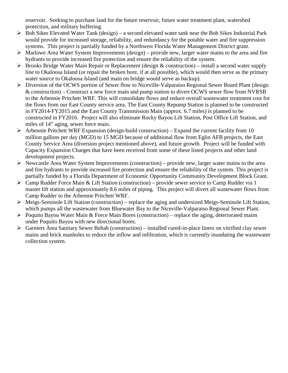reservoir. Seeking to purchase land for the future reservoir, future water treatment plant, watershed protection, and military buffering.

- $\triangleright$  Bob Sikes Elevated Water Tank (design) a second elevated water tank near the Bob Sikes Industrial Park would provide for increased storage, reliability, and redundancy for the potable water and fire suppression systems. This project is partially funded by a Northwest Florida Water Management District grant.
- $\triangleright$  Marlowe Area Water System Improvements (design) provide new, larger water mains to the area and fire hydrants to provide increased fire protection and ensure the reliability of the system.
- $\triangleright$  Brooks Bridge Water Main Repair or Replacement (design & construction) install a second water supply line to Okaloosa Island (or repair the broken bore, if at all possible), which would then serve as the primary water source to Okaloosa Island (and main on bridge would serve as backup).
- Diversion of the OCWS portion of Sewer flow to Niceville-Valparaiso Regional Sewer Board Plant (design & construction) – Construct a new force main and pump station to divert OCWS sewer flow from NVRSB to the Arbennie Pritchett WRF. This will consolidate flows and reduce overall wastewater treatment cost for the flows from our East County service area. The East County Repump Station is planned to be constructed in FY2014-FY2015 and the East County Transmission Main (approx. 6.7 miles) is planned to be constructed in FY2016. Project will also eliminate Rocky Bayou Lift Station, Post Office Lift Station, and miles of 14" aging, sewer force main.
- $\triangleright$  Arbennie Pritchett WRF Expansion (design-build construction) Expand the current facility from 10 million gallons per day (MGD) to 15 MGD because of additional flow from Eglin AFB projects, the East County Service Area (diversion project mentioned above), and future growth. Project will be funded with Capacity Expansion Charges that have been received from some of these listed projects and other land development projects.
- $\triangleright$  Newcastle Area Water System Improvements (construction) provide new, larger water mains to the area and fire hydrants to provide increased fire protection and ensure the reliability of the system. This project is partially funded by a Florida Department of Economic Opportunity Community Development Block Grant.
- $\triangleright$  Camp Rudder Force Main & Lift Station (construction) provide sewer service to Camp Rudder via 1 master lift station and approximately 8.6 miles of piping. This project will divert all wastewater flows from Camp Rudder to the Arbennie Pritchett WRF.
- Meigs-Seminole Lift Station (construction) replace the aging and undersized Meigs-Seminole Lift Station, which pumps all the wastewater from Bluewater Bay to the Niceville-Valparaiso Regional Sewer Plant.
- $\triangleright$  Poquito Bayou Water Main & Force Main Bores (construction) replace the aging, deteriorated mains under Poquito Bayou with new directional bores.
- Garniers Area Sanitary Sewer Rehab (construction) installed cured-in-place liners on vitrified clay sewer mains and brick manholes to reduce the inflow and infiltration, which is currently inundating the wastewater collection system.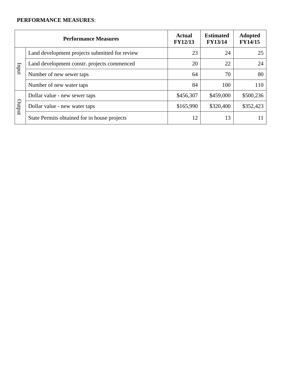|       | <b>Performance Measures</b>                    | <b>Actual</b><br><b>FY12/13</b> | <b>Estimated</b><br><b>FY13/14</b> | <b>Adopted</b><br><b>FY14/15</b> |
|-------|------------------------------------------------|---------------------------------|------------------------------------|----------------------------------|
|       | Land development projects submitted for review | 23                              | 24                                 | 25                               |
| mdur  | Land development constr. projects commenced    | 20                              | 22                                 | 24                               |
|       | Number of new sewer taps                       | 64                              | 70                                 | 80                               |
|       | Number of new water taps                       | 84                              | 100                                | 110                              |
|       | Dollar value - new sewer taps                  | \$456,307                       | \$459,000                          | \$500,236                        |
| puput | Dollar value - new water taps                  | \$165,990                       | \$320,400                          | \$352,423                        |
|       | State Permits obtained for in house projects   | 12                              | 13                                 |                                  |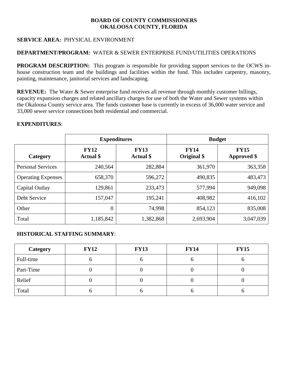# **SERVICE AREA:** PHYSICAL ENVIRONMENT

## **DEPARTMENT/PROGRAM:** WATER & SEWER ENTERPRISE FUND/UTILITIES OPERATIONS

**PROGRAM DESCRIPTION:** This program is responsible for providing support services to the OCWS inhouse construction team and the buildings and facilities within the fund. This includes carpentry, masonry, painting, maintenance, janitorial services and landscaping.

**REVENUE:** The Water & Sewer enterprise fund receives all revenue through monthly customer billings, capacity expansion charges and related ancillary charges for use of both the Water and Sewer systems within the Okaloosa County service area. The funds customer base is currently in excess of 36,000 water service and 33,000 sewer service connections both residential and commercial.

#### **EXPENDITURES**:

|                           |                                 | <b>Expenditures</b>             | <b>Budget</b>              |                                   |  |
|---------------------------|---------------------------------|---------------------------------|----------------------------|-----------------------------------|--|
| Category                  | <b>FY12</b><br><b>Actual</b> \$ | <b>FY13</b><br><b>Actual</b> \$ | <b>FY14</b><br>Original \$ | <b>FY15</b><br><b>Approved</b> \$ |  |
| <b>Personal Services</b>  | 240,564                         | 282,884                         | 361,970                    | 363,358                           |  |
| <b>Operating Expenses</b> | 658,370                         | 596,272                         | 490,835                    | 483,473                           |  |
| Capital Outlay            | 129,861                         | 233,473                         | 577,994                    | 949,098                           |  |
| Debt Service              | 157,047                         | 195,241                         | 408,982                    | 416,102                           |  |
| Other                     | $\boldsymbol{0}$                | 74,998                          | 854,123                    | 835,008                           |  |
| Total                     | 1,185,842                       | 1,382,868                       | 2,693,904                  | 3,047,039                         |  |

| Category  | <b>FY12</b> | <b>FY13</b> | <b>FY14</b> | <b>FY15</b> |
|-----------|-------------|-------------|-------------|-------------|
| Full-time |             |             | υ           |             |
| Part-Time |             |             |             |             |
| Relief    |             |             |             |             |
| Total     |             |             | O           |             |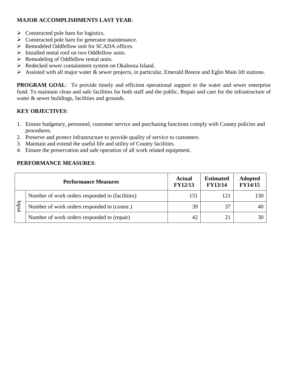- $\triangleright$  Constructed pole barn for logistics.
- S Constructed pole barn for generator maintenance.
- $\triangleright$  Remodeled Oddfellow unit for SCADA offices.
- $\triangleright$  Installed metal roof on two Oddfellow units.
- $\triangleright$  Remodeling of Oddfellow rental units.
- ▶ Redecked sewer containment system on Okaloosa Island.
- $\triangleright$  Assisted with all major water & sewer projects, in particular, Emerald Breeze and Eglin Main lift stations.

**PROGRAM GOAL:** To provide timely and efficient operational support to the water and sewer enterprise fund. To maintain clean and safe facilities for both staff and the public. Repair and care for the infrastructure of water & sewer buildings, facilities and grounds.

# **KEY OBJECTIVES**:

- 1. Ensure budgetary, personnel, customer service and purchasing functions comply with County policies and procedures.
- 2. Preserve and protect infrastructure to provide quality of service to customers.
- 3. Maintain and extend the useful life and utility of County facilities.
- 4. Ensure the preservation and safe operation of all work related equipment.

|                                 | <b>Performance Measures</b>                     |     | <b>Estimated</b><br><b>FY13/14</b> | <b>Adopted</b><br><b>FY14/15</b> |
|---------------------------------|-------------------------------------------------|-----|------------------------------------|----------------------------------|
|                                 | Number of work orders responded to (facilities) | 151 | 121                                | 130                              |
| $\frac{1}{2}$ and $\frac{1}{2}$ | Number of work orders responded to (constr.)    | 39  |                                    |                                  |
|                                 | Number of work orders responded to (repair)     | 42  |                                    |                                  |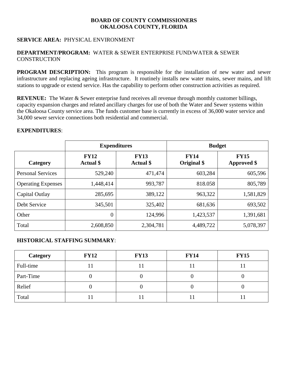## **SERVICE AREA:** PHYSICAL ENVIRONMENT

#### **DEPARTMENT/PROGRAM:** WATER & SEWER ENTERPRISE FUND/WATER & SEWER **CONSTRUCTION**

**PROGRAM DESCRIPTION:** This program is responsible for the installation of new water and sewer infrastructure and replacing ageing infrastructure. It routinely installs new water mains, sewer mains, and lift stations to upgrade or extend service. Has the capability to perform other construction activities as required.

**REVENUE:** The Water & Sewer enterprise fund receives all revenue through monthly customer billings, capacity expansion charges and related ancillary charges for use of both the Water and Sewer systems within the Okaloosa County service area. The funds customer base is currently in excess of 36,000 water service and 34,000 sewer service connections both residential and commercial.

#### **EXPENDITURES**:

|                           |                                 | <b>Expenditures</b>             | <b>Budget</b>              |                                   |  |
|---------------------------|---------------------------------|---------------------------------|----------------------------|-----------------------------------|--|
| Category                  | <b>FY12</b><br><b>Actual</b> \$ | <b>FY13</b><br><b>Actual</b> \$ | <b>FY14</b><br>Original \$ | <b>FY15</b><br><b>Approved</b> \$ |  |
| <b>Personal Services</b>  | 529,240                         | 471,474                         | 603,284                    | 605,596                           |  |
| <b>Operating Expenses</b> | 1,448,414                       | 993,787                         | 818.058                    | 805,789                           |  |
| Capital Outlay            | 285,695                         | 389,122                         | 963,322                    | 1,581,829                         |  |
| Debt Service              | 345,501                         | 325,402                         | 681,636                    | 693,502                           |  |
| Other                     | $\theta$                        | 124,996                         | 1,423,537                  | 1,391,681                         |  |
| Total                     | 2,608,850                       | 2,304,781                       | 4,489,722                  | 5,078,397                         |  |

| Category  | <b>FY12</b> | <b>FY13</b> | <b>FY14</b> | <b>FY15</b> |
|-----------|-------------|-------------|-------------|-------------|
| Full-time |             |             |             |             |
| Part-Time |             |             |             |             |
| Relief    |             |             | U           |             |
| Total     |             |             |             |             |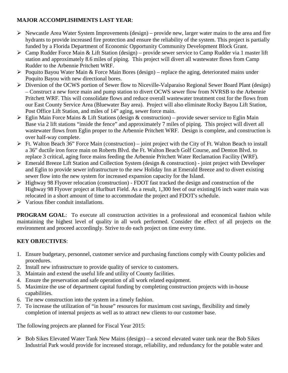- $\triangleright$  Newcastle Area Water System Improvements (design) provide new, larger water mains to the area and fire hydrants to provide increased fire protection and ensure the reliability of the system. This project is partially funded by a Florida Department of Economic Opportunity Community Development Block Grant.
- Camp Rudder Force Main & Lift Station (design) provide sewer service to Camp Rudder via 1 master lift station and approximately 8.6 miles of piping. This project will divert all wastewater flows from Camp Rudder to the Arbennie Pritchett WRF.
- Poquito Bayou Water Main & Force Main Bores (design) replace the aging, deteriorated mains under Poquito Bayou with new directional bores.
- Diversion of the OCWS portion of Sewer flow to Niceville-Valparaiso Regional Sewer Board Plant (design) – Construct a new force main and pump station to divert OCWS sewer flow from NVRSB to the Arbennie Pritchett WRF. This will consolidate flows and reduce overall wastewater treatment cost for the flows from our East County Service Area (Bluewater Bay area). Project will also eliminate Rocky Bayou Lift Station, Post Office Lift Station, and miles of 14" aging, sewer force main.
- $\triangleright$  Eglin Main Force Mains & Lift Stations (design & construction) provide sewer service to Eglin Main Base via 2 lift stations "inside the fence" and approximately 7 miles of piping. This project will divert all wastewater flows from Eglin proper to the Arbennie Pritchett WRF. Design is complete, and construction is over half-way complete.
- $\triangleright$  Ft. Walton Beach 36" Force Main (construction) joint project with the City of Ft. Walton Beach to install a 36" ductile iron force main on Roberts Blvd. the Ft. Walton Beach Golf Course, and Denton Blvd. to replace 3 critical, aging force mains feeding the Arbennie Pritchett Water Reclamation Facility (WRF).
- Emerald Breeze Lift Station and Collection System (design & construction) joint project with Developer and Eglin to provide sewer infrastructure to the new Holiday Inn at Emerald Breeze and to divert existing sewer flow into the new system for increased expansion capacity for the Island.
- $\triangleright$  Highway 98 Flyover relocation (construction) FDOT fast tracked the design and construction of the Highway 98 Flyover project at Hurlburt Field. As a result, 1,300 feet of our existing16 inch water main was relocated in a short amount of time to accommodate the project and FDOT's schedule.
- $\triangleright$  Various fiber conduit installations.

**PROGRAM GOAL:** To execute all construction activities in a professional and economical fashion while maintaining the highest level of quality in all work performed. Consider the effect of all projects on the environment and proceed accordingly. Strive to do each project on time every time.

# **KEY OBJECTIVES**:

- 1. Ensure budgetary, personnel, customer service and purchasing functions comply with County policies and procedures.
- 2. Install new infrastructure to provide quality of service to customers.
- 3. Maintain and extend the useful life and utility of County facilities.
- 4. Ensure the preservation and safe operation of all work related equipment.
- 5. Maximize the use of department capital funding by completing construction projects with in-house capabilities.
- 6. Tie new construction into the system in a timely fashion.
- 7. To increase the utilization of "in house" resources for maximum cost savings, flexibility and timely completion of internal projects as well as to attract new clients to our customer base.

The following projects are planned for Fiscal Year 2015:

 $\triangleright$  Bob Sikes Elevated Water Tank New Mains (design) – a second elevated water tank near the Bob Sikes Industrial Park would provide for increased storage, reliability, and redundancy for the potable water and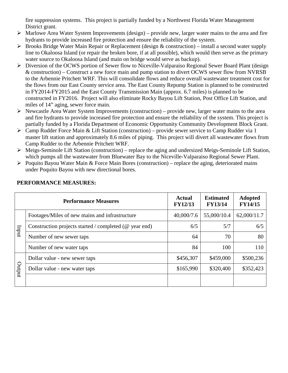fire suppression systems. This project is partially funded by a Northwest Florida Water Management District grant.

- $\triangleright$  Marlowe Area Water System Improvements (design) provide new, larger water mains to the area and fire hydrants to provide increased fire protection and ensure the reliability of the system.
- $\triangleright$  Brooks Bridge Water Main Repair or Replacement (design & construction) install a second water supply line to Okaloosa Island (or repair the broken bore, if at all possible), which would then serve as the primary water source to Okaloosa Island (and main on bridge would serve as backup).
- Diversion of the OCWS portion of Sewer flow to Niceville-Valparaiso Regional Sewer Board Plant (design & construction) – Construct a new force main and pump station to divert OCWS sewer flow from NVRSB to the Arbennie Pritchett WRF. This will consolidate flows and reduce overall wastewater treatment cost for the flows from our East County service area. The East County Repump Station is planned to be constructed in FY2014-FY2015 and the East County Transmission Main (approx. 6.7 miles) is planned to be constructed in FY2016. Project will also eliminate Rocky Bayou Lift Station, Post Office Lift Station, and miles of 14" aging, sewer force main.
- $\triangleright$  Newcastle Area Water System Improvements (construction) provide new, larger water mains to the area and fire hydrants to provide increased fire protection and ensure the reliability of the system. This project is partially funded by a Florida Department of Economic Opportunity Community Development Block Grant.
- $\triangleright$  Camp Rudder Force Main & Lift Station (construction) provide sewer service to Camp Rudder via 1 master lift station and approximately 8.6 miles of piping. This project will divert all wastewater flows from Camp Rudder to the Arbennie Pritchett WRF.
- Meigs-Seminole Lift Station (construction) replace the aging and undersized Meigs-Seminole Lift Station, which pumps all the wastewater from Bluewater Bay to the Niceville-Valparaiso Regional Sewer Plant.
- $\triangleright$  Poquito Bayou Water Main & Force Main Bores (construction) replace the aging, deteriorated mains under Poquito Bayou with new directional bores.

|        | <b>Performance Measures</b>                               | <b>Actual</b><br><b>FY12/13</b> | <b>Estimated</b><br><b>FY13/14</b> | <b>Adopted</b><br><b>FY14/15</b> |
|--------|-----------------------------------------------------------|---------------------------------|------------------------------------|----------------------------------|
|        | Footages/Miles of new mains and infrastructure            | 40,000/7.6                      | 55,000/10.4                        | 62,000/11.7                      |
| Inqui  | Construction projects started / completed ( $@$ year end) | 6/5                             | 5/7                                | 6/5                              |
|        | Number of new sewer taps                                  | 64                              | 70                                 | 80                               |
|        | Number of new water taps                                  | 84                              | 100                                | 110                              |
|        | Dollar value - new sewer taps                             | \$456,307                       | \$459,000                          | \$500,236                        |
| putput | Dollar value - new water taps                             | \$165,990                       | \$320,400                          | \$352,423                        |
|        |                                                           |                                 |                                    |                                  |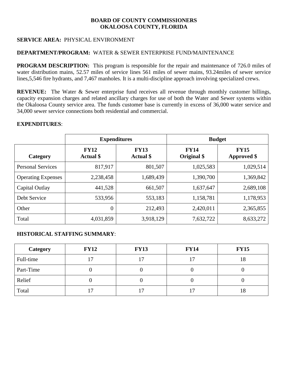# **SERVICE AREA:** PHYSICAL ENVIRONMENT

#### **DEPARTMENT/PROGRAM:** WATER & SEWER ENTERPRISE FUND/MAINTENANCE

**PROGRAM DESCRIPTION:** This program is responsible for the repair and maintenance of 726.0 miles of water distribution mains, 52.57 miles of service lines 561 miles of sewer mains, 93.24miles of sewer service lines,5,546 fire hydrants, and 7,467 manholes. It is a multi-discipline approach involving specialized crews.

**REVENUE:** The Water & Sewer enterprise fund receives all revenue through monthly customer billings, capacity expansion charges and related ancillary charges for use of both the Water and Sewer systems within the Okaloosa County service area. The funds customer base is currently in excess of 36,000 water service and 34,000 sewer service connections both residential and commercial.

#### **EXPENDITURES**:

|                           | <b>Expenditures</b>             |                                 | <b>Budget</b>              |                                   |  |
|---------------------------|---------------------------------|---------------------------------|----------------------------|-----------------------------------|--|
| Category                  | <b>FY12</b><br><b>Actual</b> \$ | <b>FY13</b><br><b>Actual</b> \$ | <b>FY14</b><br>Original \$ | <b>FY15</b><br><b>Approved</b> \$ |  |
| <b>Personal Services</b>  | 817,917                         | 801,507                         | 1,025,583                  | 1,029,514                         |  |
| <b>Operating Expenses</b> | 2,238,458                       | 1,689,439                       | 1,390,700                  | 1,369,842                         |  |
| Capital Outlay            | 441,528                         | 661,507                         | 1,637,647                  | 2,689,108                         |  |
| Debt Service              | 533,956                         | 553,183                         | 1,158,781                  | 1,178,953                         |  |
| Other                     | $\overline{0}$                  | 212,493                         | 2,420,011                  | 2,365,855                         |  |
| Total                     | 4,031,859                       | 3,918,129                       | 7,632,722                  | 8,633,272                         |  |

| Category  | <b>FY12</b> | <b>FY13</b> | <b>FY14</b> | <b>FY15</b> |
|-----------|-------------|-------------|-------------|-------------|
| Full-time | 17          | 17          | 17          | 18          |
| Part-Time |             |             |             |             |
| Relief    |             |             | U           |             |
| Total     | . 7         |             |             | 18          |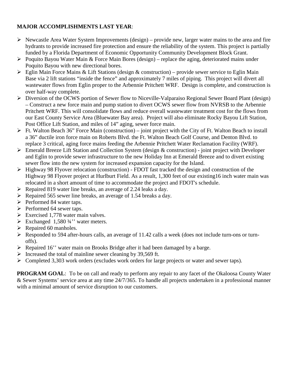- $\triangleright$  Newcastle Area Water System Improvements (design) provide new, larger water mains to the area and fire hydrants to provide increased fire protection and ensure the reliability of the system. This project is partially funded by a Florida Department of Economic Opportunity Community Development Block Grant.
- $\triangleright$  Poquito Bayou Water Main & Force Main Bores (design) replace the aging, deteriorated mains under Poquito Bayou with new directional bores.
- $\triangleright$  Eglin Main Force Mains & Lift Stations (design & construction) provide sewer service to Eglin Main Base via 2 lift stations "inside the fence" and approximately 7 miles of piping. This project will divert all wastewater flows from Eglin proper to the Arbennie Pritchett WRF. Design is complete, and construction is over half-way complete.
- Diversion of the OCWS portion of Sewer flow to Niceville-Valparaiso Regional Sewer Board Plant (design) – Construct a new force main and pump station to divert OCWS sewer flow from NVRSB to the Arbennie Pritchett WRF. This will consolidate flows and reduce overall wastewater treatment cost for the flows from our East County Service Area (Bluewater Bay area). Project will also eliminate Rocky Bayou Lift Station, Post Office Lift Station, and miles of 14" aging, sewer force main.
- $\triangleright$  Ft. Walton Beach 36" Force Main (construction) joint project with the City of Ft. Walton Beach to install a 36" ductile iron force main on Roberts Blvd. the Ft. Walton Beach Golf Course, and Denton Blvd. to replace 3 critical, aging force mains feeding the Arbennie Pritchett Water Reclamation Facility (WRF).
- $\triangleright$  Emerald Breeze Lift Station and Collection System (design & construction) joint project with Developer and Eglin to provide sewer infrastructure to the new Holiday Inn at Emerald Breeze and to divert existing sewer flow into the new system for increased expansion capacity for the Island.
- $\triangleright$  Highway 98 Flyover relocation (construction) FDOT fast tracked the design and construction of the Highway 98 Flyover project at Hurlburt Field. As a result, 1,300 feet of our existing16 inch water main was relocated in a short amount of time to accommodate the project and FDOT's schedule.
- $\triangleright$  Repaired 819 water line breaks, an average of 2.24 leaks a day.
- $\triangleright$  Repaired 565 sewer line breaks, an average of 1.54 breaks a day.
- $\triangleright$  Performed 84 water taps.
- $\triangleright$  Performed 64 sewer taps.
- Exercised 1,778 water main valves.
- Exchanged 1,580  $\frac{3}{4}$ " water meters.
- $\triangleright$  Repaired 60 manholes.
- Responded to 594 after-hours calls, an average of 11.42 calls a week (does not include turn-ons or turnoffs).
- Repaired 16'' water main on Brooks Bridge after it had been damaged by a barge.
- $\triangleright$  Increased the total of mainline sewer cleaning by 39,569 ft.
- S Completed 3,303 work orders (excludes work orders for large projects or water and sewer taps).

**PROGRAM GOAL**: To be on call and ready to perform any repair to any facet of the Okaloosa County Water & Sewer Systems' service area at any time 24/7/365. To handle all projects undertaken in a professional manner with a minimal amount of service disruption to our customers.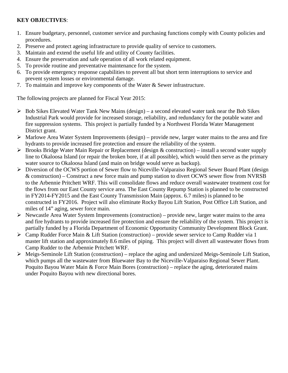# **KEY OBJECTIVES**:

- 1. Ensure budgetary, personnel, customer service and purchasing functions comply with County policies and procedures.
- 2. Preserve and protect ageing infrastructure to provide quality of service to customers.
- 3. Maintain and extend the useful life and utility of County facilities.
- 4. Ensure the preservation and safe operation of all work related equipment.
- 5. To provide routine and preventative maintenance for the system.
- 6. To provide emergency response capabilities to prevent all but short term interruptions to service and prevent system losses or environmental damage.
- 7. To maintain and improve key components of the Water & Sewer infrastructure.

The following projects are planned for Fiscal Year 2015:

- $\triangleright$  Bob Sikes Elevated Water Tank New Mains (design) a second elevated water tank near the Bob Sikes Industrial Park would provide for increased storage, reliability, and redundancy for the potable water and fire suppression systems. This project is partially funded by a Northwest Florida Water Management District grant.
- $\triangleright$  Marlowe Area Water System Improvements (design) provide new, larger water mains to the area and fire hydrants to provide increased fire protection and ensure the reliability of the system.
- $\triangleright$  Brooks Bridge Water Main Repair or Replacement (design & construction) install a second water supply line to Okaloosa Island (or repair the broken bore, if at all possible), which would then serve as the primary water source to Okaloosa Island (and main on bridge would serve as backup).
- Diversion of the OCWS portion of Sewer flow to Niceville-Valparaiso Regional Sewer Board Plant (design & construction) – Construct a new force main and pump station to divert OCWS sewer flow from NVRSB to the Arbennie Pritchett WRF. This will consolidate flows and reduce overall wastewater treatment cost for the flows from our East County service area. The East County Repump Station is planned to be constructed in FY2014-FY2015 and the East County Transmission Main (approx. 6.7 miles) is planned to be constructed in FY2016. Project will also eliminate Rocky Bayou Lift Station, Post Office Lift Station, and miles of 14" aging, sewer force main.
- $\triangleright$  Newcastle Area Water System Improvements (construction) provide new, larger water mains to the area and fire hydrants to provide increased fire protection and ensure the reliability of the system. This project is partially funded by a Florida Department of Economic Opportunity Community Development Block Grant.
- Camp Rudder Force Main & Lift Station (construction) provide sewer service to Camp Rudder via 1 master lift station and approximately 8.6 miles of piping. This project will divert all wastewater flows from Camp Rudder to the Arbennie Pritchett WRF.
- Meigs-Seminole Lift Station (construction) replace the aging and undersized Meigs-Seminole Lift Station, which pumps all the wastewater from Bluewater Bay to the Niceville-Valparaiso Regional Sewer Plant. Poquito Bayou Water Main & Force Main Bores (construction) – replace the aging, deteriorated mains under Poquito Bayou with new directional bores.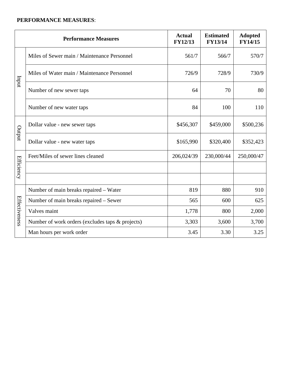|                   | <b>Performance Measures</b>                      | <b>Actual</b><br><b>FY12/13</b> | <b>Estimated</b><br><b>FY13/14</b> | <b>Adopted</b><br><b>FY14/15</b> |
|-------------------|--------------------------------------------------|---------------------------------|------------------------------------|----------------------------------|
|                   | Miles of Sewer main / Maintenance Personnel      | 561/7                           | 566/7                              | 570/7                            |
| Inqui             | Miles of Water main / Maintenance Personnel      | 726/9                           | 728/9                              | 730/9                            |
|                   | Number of new sewer taps                         | 64                              | 70                                 | 80                               |
|                   | Number of new water taps                         | 84                              | 100                                | 110                              |
|                   | Dollar value - new sewer taps                    | \$456,307                       | \$459,000                          | \$500,236                        |
| Output            | Dollar value - new water taps                    | \$165,990                       | \$320,400                          | \$352,423                        |
|                   | Feet/Miles of sewer lines cleaned                | 206,024/39                      | 230,000/44                         | 250,000/47                       |
| <b>Efficiency</b> |                                                  |                                 |                                    |                                  |
|                   |                                                  |                                 |                                    |                                  |
|                   | Number of main breaks repaired - Water           | 819                             | 880                                | 910                              |
| Effectiveness     | Number of main breaks repaired - Sewer           | 565                             | 600                                | 625                              |
|                   | Valves maint                                     | 1,778                           | 800                                | 2,000                            |
|                   | Number of work orders (excludes taps & projects) | 3,303                           | 3,600                              | 3,700                            |
|                   | Man hours per work order                         | 3.45                            | 3.30                               | 3.25                             |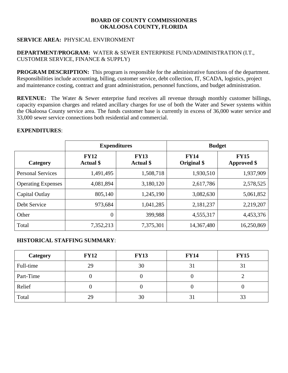# **SERVICE AREA:** PHYSICAL ENVIRONMENT

# **DEPARTMENT/PROGRAM:** WATER & SEWER ENTERPRISE FUND/ADMINISTRATION (I.T., CUSTOMER SERVICE, FINANCE & SUPPLY)

**PROGRAM DESCRIPTION:** This program is responsible for the administrative functions of the department. Responsibilities include accounting, billing, customer service, debt collection, IT, SCADA, logistics, project and maintenance costing, contract and grant administration, personnel functions, and budget administration.

**REVENUE:** The Water & Sewer enterprise fund receives all revenue through monthly customer billings, capacity expansion charges and related ancillary charges for use of both the Water and Sewer systems within the Okaloosa County service area. The funds customer base is currently in excess of 36,000 water service and 33,000 sewer service connections both residential and commercial.

#### **EXPENDITURES**:

|                           |                                 | <b>Expenditures</b>             | <b>Budget</b>              |                                   |  |
|---------------------------|---------------------------------|---------------------------------|----------------------------|-----------------------------------|--|
| Category                  | <b>FY12</b><br><b>Actual</b> \$ | <b>FY13</b><br><b>Actual</b> \$ | <b>FY14</b><br>Original \$ | <b>FY15</b><br><b>Approved</b> \$ |  |
| <b>Personal Services</b>  | 1,491,495                       | 1,508,718                       | 1,930,510                  | 1,937,909                         |  |
| <b>Operating Expenses</b> | 4,081,894                       | 3,180,120                       | 2,617,786                  | 2,578,525                         |  |
| Capital Outlay            | 805,140                         | 1,245,190                       | 3,082,630                  | 5,061,852                         |  |
| Debt Service              | 973,684                         | 1,041,285                       | 2,181,237                  | 2,219,207                         |  |
| Other                     | $\theta$                        | 399,988                         | 4,555,317                  | 4,453,376                         |  |
| Total                     | 7,352,213                       | 7,375,301                       | 14,367,480                 | 16,250,869                        |  |

| Category  | <b>FY12</b> | <b>FY13</b> | <b>FY14</b> | <b>FY15</b> |
|-----------|-------------|-------------|-------------|-------------|
| Full-time | 29          | 30          | 31          |             |
| Part-Time |             |             |             |             |
| Relief    |             |             |             |             |
| Total     | 29          | 30          | 31          |             |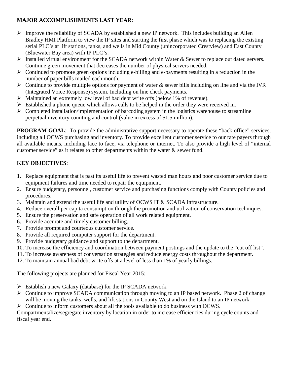- $\triangleright$  Improve the reliability of SCADA by established a new IP network. This includes building an Allen Bradley HMI Platform to view the IP sites and starting the first phase which was to replacing the existing serial PLC's at lift stations, tanks, and wells in Mid County (unincorporated Crestview) and East County (Bluewater Bay area) with IP PLC's.
- Installed virtual environment for the SCADA network within Water  $\&$  Sewer to replace out dated servers. Continue green movement that decreases the number of physical servers needed.
- $\triangleright$  Continued to promote green options including e-billing and e-payments resulting in a reduction in the number of paper bills mailed each month.
- $\triangleright$  Continue to provide multiple options for payment of water & sewer bills including on line and via the IVR (Integrated Voice Response) system. Including on line check payments.
- Maintained an extremely low level of bad debt write offs (below 1% of revenue).
- $\triangleright$  Established a phone queue which allows calls to be helped in the order they were received in.
- $\triangleright$  Completed installation/implementation of barcoding system in the logistics warehouse to streamline perpetual inventory counting and control (value in excess of \$1.5 million).

**PROGRAM GOAL:** To provide the administrative support necessary to operate these "back office" services, including all OCWS purchasing and inventory. To provide excellent customer service to our rate payers through all available means, including face to face, via telephone or internet. To also provide a high level of "internal customer service" as it relates to other departments within the water & sewer fund.

# **KEY OBJECTIVES**:

- 1. Replace equipment that is past its useful life to prevent wasted man hours and poor customer service due to equipment failures and time needed to repair the equipment.
- 2. Ensure budgetary, personnel, customer service and purchasing functions comply with County policies and procedures.
- 3. Maintain and extend the useful life and utility of OCWS IT & SCADA infrastructure.
- 4. Reduce overall per capita consumption through the promotion and utilization of conservation techniques.
- 5. Ensure the preservation and safe operation of all work related equipment.
- 6. Provide accurate and timely customer billing.
- 7. Provide prompt and courteous customer service.
- 8. Provide all required computer support for the department.
- 9. Provide budgetary guidance and support to the department.
- 10. To increase the efficiency and coordination between payment postings and the update to the "cut off list".
- 11. To increase awareness of conversation strategies and reduce energy costs throughout the department.
- 12. To maintain annual bad debt write offs at a level of less than 1% of yearly billings.

The following projects are planned for Fiscal Year 2015:

- $\triangleright$  Establish a new Galaxy (database) for the IP SCADA network.
- $\triangleright$  Continue to improve SCADA communication through moving to an IP based network. Phase 2 of change will be moving the tanks, wells, and lift stations in County West and on the Island to an IP network.
- $\triangleright$  Continue to inform customers about all the tools available to do business with OCWS.

Compartmentalize/segregate inventory by location in order to increase efficiencies during cycle counts and fiscal year end.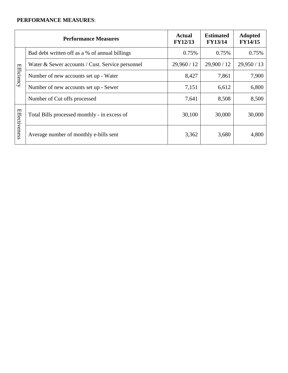|                   | <b>Performance Measures</b>                      | <b>Actual</b><br><b>FY12/13</b> | <b>Estimated</b><br><b>FY13/14</b> | <b>Adopted</b><br><b>FY14/15</b> |
|-------------------|--------------------------------------------------|---------------------------------|------------------------------------|----------------------------------|
|                   | Bad debt written off as a % of annual billings   | 0.75%                           | 0.75%                              | 0.75%                            |
|                   | Water & Sewer accounts / Cust. Service personnel | 29,960 / 12                     | 29,900 / 12                        | 29,950 / 13                      |
| <b>Efficiency</b> | Number of new accounts set up - Water            | 8,427                           | 7,861                              | 7,900                            |
|                   | Number of new accounts set up - Sewer            | 7,151                           | 6,612                              | 6,800                            |
|                   | Number of Cut offs processed                     | 7,641                           | 8,508                              | 8,500                            |
|                   | Total Bills processed monthly - in excess of     | 30,100                          | 30,000                             | 30,000                           |
| Effectiveness     | Average number of monthly e-bills sent           | 3,362                           | 3,680                              | 4,800                            |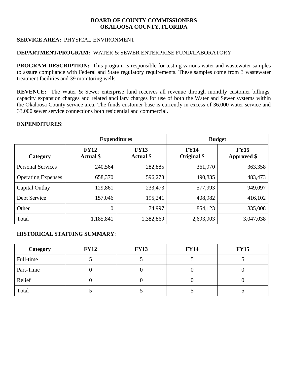# **SERVICE AREA:** PHYSICAL ENVIRONMENT

#### **DEPARTMENT/PROGRAM:** WATER & SEWER ENTERPRISE FUND/LABORATORY

**PROGRAM DESCRIPTION:** This program is responsible for testing various water and wastewater samples to assure compliance with Federal and State regulatory requirements. These samples come from 3 wastewater treatment facilities and 39 monitoring wells.

**REVENUE:** The Water & Sewer enterprise fund receives all revenue through monthly customer billings, capacity expansion charges and related ancillary charges for use of both the Water and Sewer systems within the Okaloosa County service area. The funds customer base is currently in excess of 36,000 water service and 33,000 sewer service connections both residential and commercial.

#### **EXPENDITURES**:

|                           |                                 | <b>Expenditures</b>             | <b>Budget</b>              |                                   |  |
|---------------------------|---------------------------------|---------------------------------|----------------------------|-----------------------------------|--|
| Category                  | <b>FY12</b><br><b>Actual</b> \$ | <b>FY13</b><br><b>Actual</b> \$ | <b>FY14</b><br>Original \$ | <b>FY15</b><br><b>Approved</b> \$ |  |
| <b>Personal Services</b>  | 240,564                         | 282,885                         | 361,970                    | 363,358                           |  |
| <b>Operating Expenses</b> | 658,370                         | 596,273                         | 490,835                    | 483,473                           |  |
| Capital Outlay            | 129,861                         | 233,473                         | 577,993                    | 949,097                           |  |
| Debt Service              | 157,046                         | 195,241                         | 408,982                    | 416,102                           |  |
| Other                     | $\theta$                        | 74,997                          | 854,123                    | 835,008                           |  |
| Total                     | 1,185,841                       | 1,382,869                       | 2,693,903                  | 3,047,038                         |  |

| Category  | <b>FY12</b> | <b>FY13</b> | <b>FY14</b> | <b>FY15</b> |
|-----------|-------------|-------------|-------------|-------------|
| Full-time |             |             |             |             |
| Part-Time |             |             |             |             |
| Relief    |             |             |             |             |
| Total     |             |             |             |             |